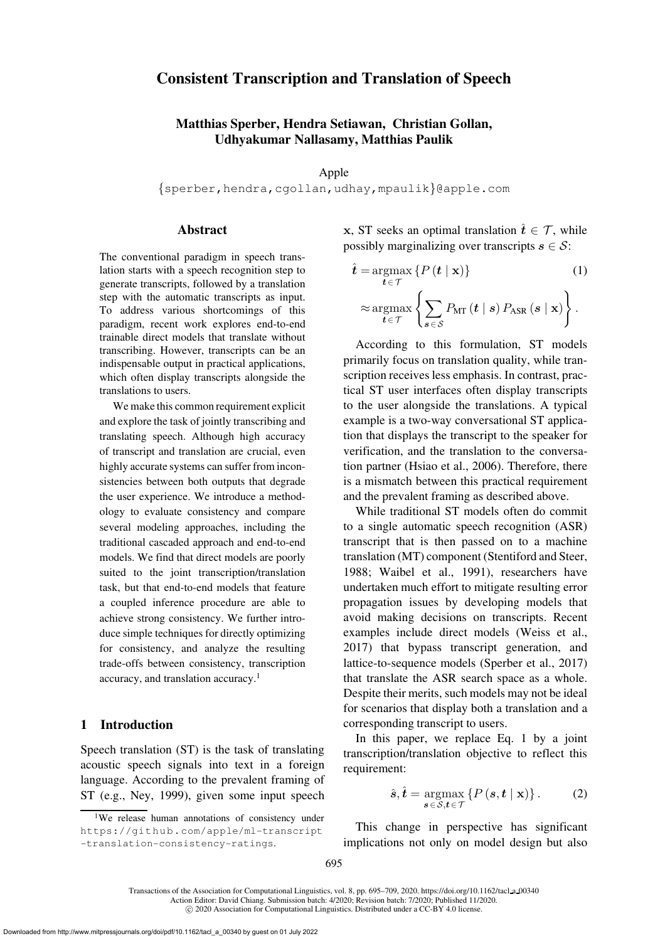# Consistent Transcription and Translation of Speech

# Matthias Sperber, Hendra Setiawan, Christian Gollan, Udhyakumar Nallasamy, Matthias Paulik

Apple

{[sperber,](mailto:sperber@apple.com)[hendra](mailto:hendra@apple.com)[,cgollan](mailto:cgollan@apple.com)[,udhay](mailto:udhay@apple.com)[,mpaulik](mailto:mpaulik@apple.com)}@apple.com

## **Abstract**

The conventional paradigm in speech translation starts with a speech recognition step to generate transcripts, followed by a translation step with the automatic transcripts as input. To address various shortcomings of this paradigm, recent work explores end-to-end trainable direct models that translate without transcribing. However, transcripts can be an indispensable output in practical applications, which often display transcripts alongside the translations to users.

We make this common requirement explicit and explore the task of jointly transcribing and translating speech. Although high accuracy of transcript and translation are crucial, even highly accurate systems can suffer from inconsistencies between both outputs that degrade the user experience. We introduce a methodology to evaluate consistency and compare several modeling approaches, including the traditional cascaded approach and end-to-end models. We find that direct models are poorly suited to the joint transcription/translation task, but that end-to-end models that feature a coupled inference procedure are able to achieve strong consistency. We further introduce simple techniques for directly optimizing for consistency, and analyze the resulting trade-offs between consistency, transcription accuracy, and translation accuracy.[1](#page-0-0)

### 1 Introduction

Speech translation (ST) is the task of translating acoustic speech signals into text in a foreign language. According to the prevalent framing of ST (e.g., [Ney, 1999\)](#page-13-0), given some input speech **x**, ST seeks an optimal translation  $\hat{t} \in \mathcal{T}$ , while possibly marginalizing over transcripts  $s \in \mathcal{S}$ :

<span id="page-0-1"></span>
$$
\hat{t} = \underset{t \in \mathcal{T}}{\operatorname{argmax}} \left\{ P(t | \mathbf{x}) \right\} \tag{1}
$$
\n
$$
\approx \underset{t \in \mathcal{T}}{\operatorname{argmax}} \left\{ \sum_{s \in \mathcal{S}} P_{\text{MT}}(t | s) P_{\text{ASR}}(s | \mathbf{x}) \right\}.
$$

According to this formulation, ST models primarily focus on translation quality, while transcription receives less emphasis. In contrast, practical ST user interfaces often display transcripts to the user alongside the translations. A typical example is a two-way conversational ST application that displays the transcript to the speaker for verification, and the translation to the conversation partner [\(Hsiao et al., 2006\)](#page-13-1). Therefore, there is a mismatch between this practical requirement and the prevalent framing as described above.

While traditional ST models often do commit to a single automatic speech recognition (ASR) transcript that is then passed on to a machine translation (MT) component [\(Stentiford and Steer,](#page-14-0) [1988](#page-14-0); [Waibel et al.](#page-14-1), [1991](#page-14-1)), researchers have undertaken much effort to mitigate resulting error propagation issues by developing models that avoid making decisions on transcripts. Recent examples include direct models [\(Weiss et al.,](#page-14-2) [2017](#page-14-2)) that bypass transcript generation, and lattice-to-sequence models [\(Sperber et al.](#page-14-3), [2017](#page-14-3)) that translate the ASR search space as a whole. Despite their merits, such models may not be ideal for scenarios that display both a translation and a corresponding transcript to users.

In this paper, we replace Eq. [1](#page-0-1) by a joint transcription/translation objective to reflect this requirement:

<span id="page-0-2"></span>
$$
\hat{\boldsymbol{s}}, \hat{\boldsymbol{t}} = \underset{\boldsymbol{s} \in \mathcal{S}, \boldsymbol{t} \in \mathcal{T}}{\operatorname{argmax}} \left\{ P\left(\boldsymbol{s}, \boldsymbol{t} \mid \mathbf{x}\right) \right\}. \tag{2}
$$

This change in perspective has significant implications not only on model design but also

<span id="page-0-0"></span><sup>&</sup>lt;sup>1</sup>We release human annotations of consistency under [https://github.com/apple/ml-transcript](https://github.com/apple/ml-transcript-translation-consistency-ratings) [-translation-consistency-ratings](https://github.com/apple/ml-transcript-translation-consistency-ratings).

Transactions of the Association for Computational Linguistics, vol. 8, pp. 695–709, 2020. [https://doi.org/10.1162/tacl](https://doi.org/10.1162/tacl_a_00340) a 00340 Action Editor: David Chiang. Submission batch: 4/2020; Revision batch: 7/2020; Published 11/2020.

c 2020 Association for Computational Linguistics. Distributed under a CC-BY 4.0 license.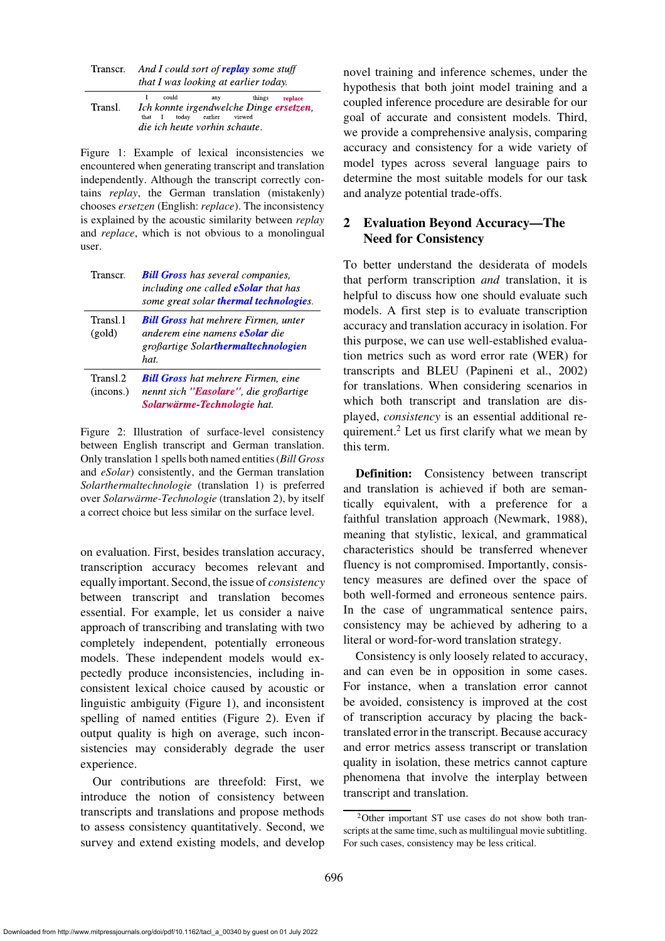| Transcr. | And I could sort of <b>replay</b> some stuff |
|----------|----------------------------------------------|
|          | that I was looking at earlier today.         |

|         | I could                                 | anv | things replace |
|---------|-----------------------------------------|-----|----------------|
| Transl. | Ich konnte irgendwelche Dinge ersetzen, |     |                |
|         | that I today earlier viewed             |     |                |
|         | die ich heute vorhin schaute.           |     |                |

<span id="page-1-0"></span>Figure 1: Example of lexical inconsistencies we encountered when generating transcript and translation independently. Although the transcript correctly contains *replay*, the German translation (mistakenly) chooses *ersetzen* (English: *replace*). The inconsistency is explained by the acoustic similarity between *replay* and *replace*, which is not obvious to a monolingual user.

| Transcr.              | <b>Bill Gross</b> has several companies,<br>including one called <b>eSolar</b> that has<br>some great solar thermal technologies.  |
|-----------------------|------------------------------------------------------------------------------------------------------------------------------------|
| Transl.1<br>(gold)    | <b>Bill Gross</b> hat mehrere Firmen, unter<br>anderem eine namens <b>eSolar</b> die<br>großartige Solarthermaltechnologien<br>hat |
| Transl.2<br>(incons.) | <b>Bill Gross</b> hat mehrere Firmen, eine<br>nennt sich "Easolare", die großartige<br><b>Solarwärme-Technologie</b> hat.          |

<span id="page-1-1"></span>Figure 2: Illustration of surface-level consistency between English transcript and German translation. Only translation 1 spells both named entities (*Bill Gross* and *eSolar*) consistently, and the German translation *Solarthermaltechnologie* (translation 1) is preferred over *Solarwärme-Technologie* (translation 2), by itself a correct choice but less similar on the surface level.

on evaluation. First, besides translation accuracy, transcription accuracy becomes relevant and equally important. Second, the issue of *consistency* between transcript and translation becomes essential. For example, let us consider a naive approach of transcribing and translating with two completely independent, potentially erroneous models. These independent models would expectedly produce inconsistencies, including inconsistent lexical choice caused by acoustic or linguistic ambiguity [\(Figure 1\)](#page-1-0), and inconsistent spelling of named entities [\(Figure 2\)](#page-1-1). Even if output quality is high on average, such inconsistencies may considerably degrade the user experience.

Our contributions are threefold: First, we introduce the notion of consistency between transcripts and translations and propose methods to assess consistency quantitatively. Second, we survey and extend existing models, and develop novel training and inference schemes, under the hypothesis that both joint model training and a coupled inference procedure are desirable for our goal of accurate and consistent models. Third, we provide a comprehensive analysis, comparing accuracy and consistency for a wide variety of model types across several language pairs to determine the most suitable models for our task and analyze potential trade-offs.

# <span id="page-1-3"></span>2 Evaluation Beyond Accuracy—The Need for Consistency

To better understand the desiderata of models that perform transcription *and* translation, it is helpful to discuss how one should evaluate such models. A first step is to evaluate transcription accuracy and translation accuracy in isolation. For this purpose, we can use well-established evaluation metrics such as word error rate (WER) for transcripts and BLEU [\(Papineni et al., 2002](#page-13-2)) for translations. When considering scenarios in which both transcript and translation are displayed, *consistency* is an essential additional requirement.[2](#page-1-2) Let us first clarify what we mean by this term.

Definition: Consistency between transcript and translation is achieved if both are semantically equivalent, with a preference for a faithful translation approach [\(Newmark](#page-13-3), [1988](#page-13-3)), meaning that stylistic, lexical, and grammatical characteristics should be transferred whenever fluency is not compromised. Importantly, consistency measures are defined over the space of both well-formed and erroneous sentence pairs. In the case of ungrammatical sentence pairs, consistency may be achieved by adhering to a literal or word-for-word translation strategy.

Consistency is only loosely related to accuracy, and can even be in opposition in some cases. For instance, when a translation error cannot be avoided, consistency is improved at the cost of transcription accuracy by placing the backtranslated error in the transcript. Because accuracy and error metrics assess transcript or translation quality in isolation, these metrics cannot capture phenomena that involve the interplay between transcript and translation.

<span id="page-1-2"></span><sup>2</sup>Other important ST use cases do not show both transcripts at the same time, such as multilingual movie subtitling. For such cases, consistency may be less critical.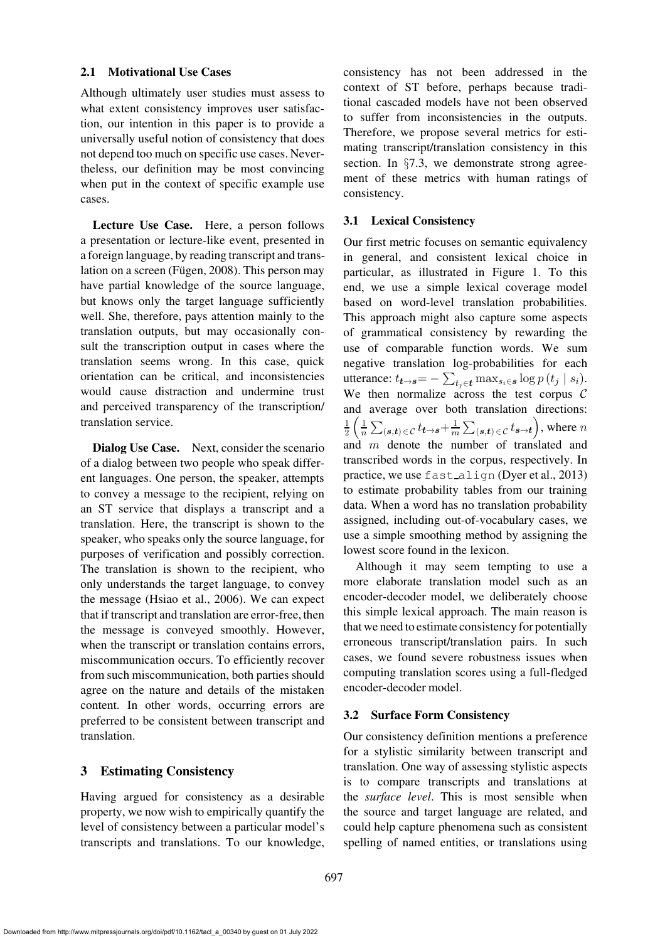#### <span id="page-2-0"></span>2.1 Motivational Use Cases

Although ultimately user studies must assess to what extent consistency improves user satisfaction, our intention in this paper is to provide a universally useful notion of consistency that does not depend too much on specific use cases. Nevertheless, our definition may be most convincing when put in the context of specific example use cases.

Lecture Use Case. Here, a person follows a presentation or lecture-like event, presented in a foreign language, by reading transcript and translation on a screen (Fügen, 2008). This person may have partial knowledge of the source language, but knows only the target language sufficiently well. She, therefore, pays attention mainly to the translation outputs, but may occasionally consult the transcription output in cases where the translation seems wrong. In this case, quick orientation can be critical, and inconsistencies would cause distraction and undermine trust and perceived transparency of the transcription/ translation service.

Dialog Use Case. Next, consider the scenario of a dialog between two people who speak different languages. One person, the speaker, attempts to convey a message to the recipient, relying on an ST service that displays a transcript and a translation. Here, the transcript is shown to the speaker, who speaks only the source language, for purposes of verification and possibly correction. The translation is shown to the recipient, who only understands the target language, to convey the message [\(Hsiao et al.](#page-13-1), [2006\)](#page-13-1). We can expect that if transcript and translation are error-free, then the message is conveyed smoothly. However, when the transcript or translation contains errors, miscommunication occurs. To efficiently recover from such miscommunication, both parties should agree on the nature and details of the mistaken content. In other words, occurring errors are preferred to be consistent between transcript and translation.

### <span id="page-2-1"></span>3 Estimating Consistency

Having argued for consistency as a desirable property, we now wish to empirically quantify the level of consistency between a particular model's transcripts and translations. To our knowledge,

consistency has not been addressed in the context of ST before, perhaps because traditional cascaded models have not been observed to suffer from inconsistencies in the outputs. Therefore, we propose several metrics for estimating transcript/translation consistency in this section. In §[7.3,](#page-9-0) we demonstrate strong agreement of these metrics with human ratings of consistency.

## <span id="page-2-3"></span>3.1 Lexical Consistency

Our first metric focuses on semantic equivalency in general, and consistent lexical choice in particular, as illustrated in [Figure 1.](#page-1-0) To this end, we use a simple lexical coverage model based on word-level translation probabilities. This approach might also capture some aspects of grammatical consistency by rewarding the use of comparable function words. We sum negative translation log-probabilities for each utterance:  $t_{\boldsymbol{t}\rightarrow\boldsymbol{s}}{=}-\sum_{t_j\in\boldsymbol{t}}\max_{s_i\in\boldsymbol{s}}\log p\left(t_j\mid s_i\right)$ . We then normalize across the test corpus  $C$ and average over both translation directions: 1  $\frac{1}{2} \left( \frac{1}{n} \sum_{(\bm{s},\bm{t}) \in \mathcal{C}} t_{\bm{t} \rightarrow \bm{s}} + \frac{1}{m} \sum_{(\bm{s},\bm{t}) \in \mathcal{C}} t_{\bm{s} \rightarrow \bm{t}} \right)$ , where  $n$ and  $m$  denote the number of translated and transcribed words in the corpus, respectively. In practice, we use fast\_align [\(Dyer et al., 2013](#page-12-1)) to estimate probability tables from our training data. When a word has no translation probability assigned, including out-of-vocabulary cases, we use a simple smoothing method by assigning the lowest score found in the lexicon.

Although it may seem tempting to use a more elaborate translation model such as an encoder-decoder model, we deliberately choose this simple lexical approach. The main reason is that we need to estimate consistency for potentially erroneous transcript/translation pairs. In such cases, we found severe robustness issues when computing translation scores using a full-fledged encoder-decoder model.

### <span id="page-2-2"></span>3.2 Surface Form Consistency

Our consistency definition mentions a preference for a stylistic similarity between transcript and translation. One way of assessing stylistic aspects is to compare transcripts and translations at the *surface level*. This is most sensible when the source and target language are related, and could help capture phenomena such as consistent spelling of named entities, or translations using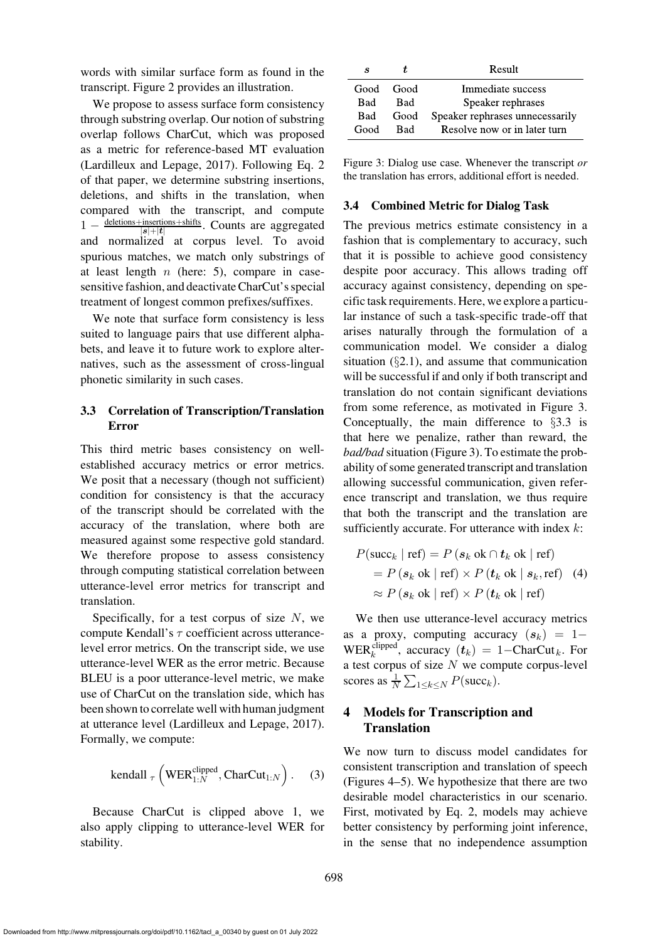words with similar surface form as found in the transcript. [Figure 2](#page-1-1) provides an illustration.

We propose to assess surface form consistency through substring overlap. Our notion of substring overlap follows CharCut, which was proposed as a metric for reference-based MT evaluation [\(Lardilleux and Lepage, 2017](#page-13-4)). Following Eq. [2](#page-0-2) of that paper, we determine substring insertions, deletions, and shifts in the translation, when compared with the transcript, and compute  $1 - \frac{\text{deletions} + \text{insertions} + \text{shifts}}{\text{let} + \text{let}}$ . Counts are aggregated  $|\bm{s}|{+}|\bm{t}$ and normalized at corpus level. To avoid spurious matches, we match only substrings of at least length  $n$  (here: 5), compare in casesensitive fashion, and deactivate CharCut's special treatment of longest common prefixes/suffixes.

We note that surface form consistency is less suited to language pairs that use different alphabets, and leave it to future work to explore alternatives, such as the assessment of cross-lingual phonetic similarity in such cases.

# <span id="page-3-1"></span>3.3 Correlation of Transcription/Translation Error

This third metric bases consistency on wellestablished accuracy metrics or error metrics. We posit that a necessary (though not sufficient) condition for consistency is that the accuracy of the transcript should be correlated with the accuracy of the translation, where both are measured against some respective gold standard. We therefore propose to assess consistency through computing statistical correlation between utterance-level error metrics for transcript and translation.

Specifically, for a test corpus of size  $N$ , we compute Kendall's  $\tau$  coefficient across utterancelevel error metrics. On the transcript side, we use utterance-level WER as the error metric. Because BLEU is a poor utterance-level metric, we make use of CharCut on the translation side, which has been shown to correlate well with human judgment at utterance level [\(Lardilleux and Lepage, 2017\)](#page-13-4). Formally, we compute:

$$
kendall_{\tau}\left(WER_{1:N}^{clipped},CharCut_{1:N}\right). (3)
$$

Because CharCut is clipped above 1, we also apply clipping to utterance-level WER for stability.

| S         | Ť.         | Result                          |
|-----------|------------|---------------------------------|
| Good Good |            | Immediate success               |
| Bad-      | <b>Bad</b> | Speaker rephrases               |
| Bad       | Good       | Speaker rephrases unnecessarily |
| Good      | Rad        | Resolve now or in later turn    |

<span id="page-3-0"></span>Figure 3: Dialog use case. Whenever the transcript *or* the translation has errors, additional effort is needed.

### <span id="page-3-2"></span>3.4 Combined Metric for Dialog Task

The previous metrics estimate consistency in a fashion that is complementary to accuracy, such that it is possible to achieve good consistency despite poor accuracy. This allows trading off accuracy against consistency, depending on specific task requirements. Here, we explore a particular instance of such a task-specific trade-off that arises naturally through the formulation of a communication model. We consider a dialog situation  $(\S 2.1)$  $(\S 2.1)$ , and assume that communication will be successful if and only if both transcript and translation do not contain significant deviations from some reference, as motivated in [Figure 3.](#page-3-0) Conceptually, the main difference to §[3.3](#page-3-1) is that here we penalize, rather than reward, the *bad/bad* situation [\(Figure 3\)](#page-3-0). To estimate the probability of some generated transcript and translation allowing successful communication, given reference transcript and translation, we thus require that both the transcript and the translation are sufficiently accurate. For utterance with index  $k$ :

$$
P(\text{succ}_k | \text{ref}) = P(s_k \text{ ok} \cap t_k \text{ ok} | \text{ref})
$$
  
= 
$$
P(s_k \text{ ok} | \text{ref}) \times P(t_k \text{ ok} | s_k, \text{ref})
$$
 (4)  

$$
\approx P(s_k \text{ ok} | \text{ref}) \times P(t_k \text{ ok} | \text{ref})
$$

We then use utterance-level accuracy metrics as a proxy, computing accuracy  $(s_k) = 1-$ WER<sup>clipped</sup>, accuracy  $(t_k) = 1 - \text{CharCut}_k$ . For a test corpus of size  $N$  we compute corpus-level scores as  $\frac{1}{N} \sum_{1 \leq k \leq N} P(\text{succ}_k)$ .

# 4 Models for Transcription and Translation

We now turn to discuss model candidates for consistent transcription and translation of speech [\(Figures 4–](#page-4-0)[5\)](#page-4-1). We hypothesize that there are two desirable model characteristics in our scenario. First, motivated by Eq. [2,](#page-0-2) models may achieve better consistency by performing joint inference, in the sense that no independence assumption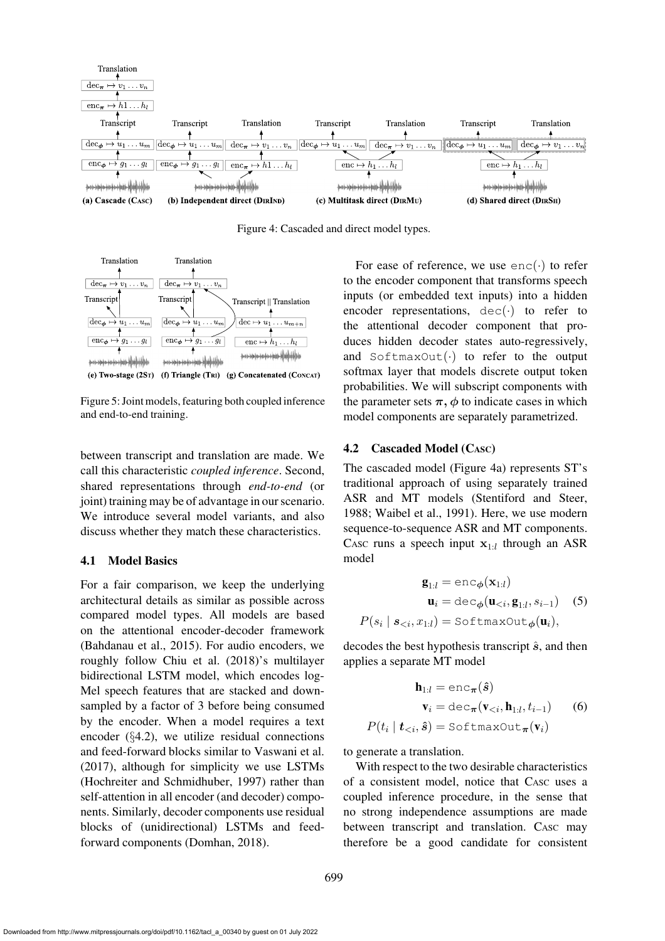

<span id="page-4-0"></span>Figure 4: Cascaded and direct model types.



<span id="page-4-1"></span>Figure 5: Joint models, featuring both coupled inference and end-to-end training.

between transcript and translation are made. We call this characteristic *coupled inference*. Second, shared representations through *end-to-end* (or joint) training may be of advantage in our scenario. We introduce several model variants, and also discuss whether they match these characteristics.

### 4.1 Model Basics

For a fair comparison, we keep the underlying architectural details as similar as possible across compared model types. All models are based on the attentional encoder-decoder framework [\(Bahdanau et al., 2015](#page-12-2)). For audio encoders, we roughly follow [Chiu et al. \(2018](#page-12-3))'s multilayer bidirectional LSTM model, which encodes log-Mel speech features that are stacked and downsampled by a factor of 3 before being consumed by the encoder. When a model requires a text encoder (§[4.2\)](#page-4-2), we utilize residual connections and feed-forward blocks similar to [Vaswani et al.](#page-14-4) [\(2017\)](#page-14-4), although for simplicity we use LSTMs [\(Hochreiter and Schmidhuber](#page-13-5), [1997](#page-13-5)) rather than self-attention in all encoder (and decoder) components. Similarly, decoder components use residual blocks of (unidirectional) LSTMs and feedforward components [\(Domhan](#page-12-4), [2018\)](#page-12-4).

For ease of reference, we use  $enc(\cdot)$  to refer to the encoder component that transforms speech inputs (or embedded text inputs) into a hidden encoder representations,  $dec(\cdot)$  to refer to the attentional decoder component that produces hidden decoder states auto-regressively, and  $SoftmaxOut(\cdot)$  to refer to the output softmax layer that models discrete output token probabilities. We will subscript components with the parameter sets  $\pi$ ,  $\phi$  to indicate cases in which model components are separately parametrized.

#### <span id="page-4-2"></span>4.2 Cascaded Model (CASC)

The cascaded model [\(Figure 4a\)](#page-4-0) represents ST's traditional approach of using separately trained ASR and MT models [\(Stentiford and Steer,](#page-14-0) [1988](#page-14-0); [Waibel et al., 1991\)](#page-14-1). Here, we use modern sequence-to-sequence ASR and MT components. CASC runs a speech input  $x_{1:l}$  through an ASR model

<span id="page-4-3"></span>
$$
\mathbf{g}_{1:l} = \text{enc}_{\phi}(\mathbf{x}_{1:l})
$$

$$
\mathbf{u}_{i} = \text{dec}_{\phi}(\mathbf{u}_{
$$
P(s_{i} | s_{
$$
$$

decodes the best hypothesis transcript  $\hat{s}$ , and then applies a separate MT model

$$
\mathbf{h}_{1:l} = \text{enc}_{\boldsymbol{\pi}}(\hat{s})
$$

$$
\mathbf{v}_{i} = \text{dec}_{\boldsymbol{\pi}}(\mathbf{v}_{(6)
$$
(t_{i} | \mathbf{t}_{
$$
$$

to generate a translation.

 $P$ 

With respect to the two desirable characteristics of a consistent model, notice that CASC uses a coupled inference procedure, in the sense that no strong independence assumptions are made between transcript and translation. CASC may therefore be a good candidate for consistent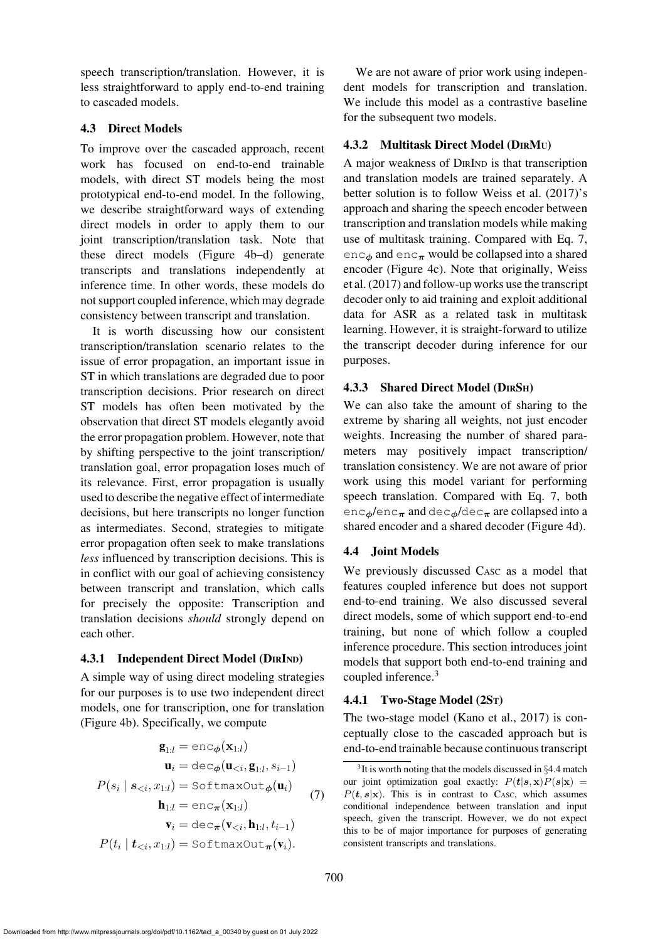speech transcription/translation. However, it is less straightforward to apply end-to-end training to cascaded models.

# 4.3 Direct Models

To improve over the cascaded approach, recent work has focused on end-to-end trainable models, with direct ST models being the most prototypical end-to-end model. In the following, we describe straightforward ways of extending direct models in order to apply them to our joint transcription/translation task. Note that these direct models [\(Figure 4b–d\)](#page-4-0) generate transcripts and translations independently at inference time. In other words, these models do not support coupled inference, which may degrade consistency between transcript and translation.

It is worth discussing how our consistent transcription/translation scenario relates to the issue of error propagation, an important issue in ST in which translations are degraded due to poor transcription decisions. Prior research on direct ST models has often been motivated by the observation that direct ST models elegantly avoid the error propagation problem. However, note that by shifting perspective to the joint transcription/ translation goal, error propagation loses much of its relevance. First, error propagation is usually used to describe the negative effect of intermediate decisions, but here transcripts no longer function as intermediates. Second, strategies to mitigate error propagation often seek to make translations *less* influenced by transcription decisions. This is in conflict with our goal of achieving consistency between transcript and translation, which calls for precisely the opposite: Transcription and translation decisions *should* strongly depend on each other.

# <span id="page-5-3"></span>4.3.1 Independent Direct Model (DIRIND)

A simple way of using direct modeling strategies for our purposes is to use two independent direct models, one for transcription, one for translation [\(Figure 4b\)](#page-4-0). Specifically, we compute

<span id="page-5-0"></span>
$$
\mathbf{g}_{1:l} = \text{enc}_{\phi}(\mathbf{x}_{1:l})
$$
\n
$$
\mathbf{u}_{i} = \text{dec}_{\phi}(\mathbf{u}_{\n
$$
P(s_{i} | s_{\n
$$
\mathbf{h}_{1:l} = \text{enc}_{\pi}(\mathbf{x}_{1:l})
$$
\n
$$
\mathbf{v}_{i} = \text{dec}_{\pi}(\mathbf{v}_{\n
$$
P(t_{i} | t_{\n(7)
$$
$$
$$
$$

We are not aware of prior work using independent models for transcription and translation. We include this model as a contrastive baseline for the subsequent two models.

# <span id="page-5-4"></span>4.3.2 Multitask Direct Model (DIRMU)

A major weakness of DIRIND is that transcription and translation models are trained separately. A better solution is to follow [Weiss et al. \(2017](#page-14-2))'s approach and sharing the speech encoder between transcription and translation models while making use of multitask training. Compared with Eq. [7,](#page-5-0) enc<sub>φ</sub> and enc<sub>π</sub> would be collapsed into a shared encoder [\(Figure 4c\)](#page-4-0). Note that originally, Weiss et al. [\(2017](#page-14-2)) and follow-up works use the transcript decoder only to aid training and exploit additional data for ASR as a related task in multitask learning. However, it is straight-forward to utilize the transcript decoder during inference for our purposes.

# <span id="page-5-5"></span>4.3.3 Shared Direct Model (DIRSH)

We can also take the amount of sharing to the extreme by sharing all weights, not just encoder weights. Increasing the number of shared parameters may positively impact transcription/ translation consistency. We are not aware of prior work using this model variant for performing speech translation. Compared with Eq. [7,](#page-5-0) both  $enc_{\phi}/enc_{\pi}$  and dec<sub> $\phi$ </sub>/dec<sub>π</sub> are collapsed into a shared encoder and a shared decoder [\(Figure 4d\)](#page-4-0).

# <span id="page-5-2"></span>4.4 Joint Models

We previously discussed CASC as a model that features coupled inference but does not support end-to-end training. We also discussed several direct models, some of which support end-to-end training, but none of which follow a coupled inference procedure. This section introduces joint models that support both end-to-end training and coupled inference.[3](#page-5-1)

# <span id="page-5-6"></span>4.4.1 Two-Stage Model (2ST)

The two-stage model [\(Kano et al.](#page-13-6), [2017\)](#page-13-6) is conceptually close to the cascaded approach but is end-to-end trainable because continuous transcript

<span id="page-5-1"></span> $3$ It is worth noting that the models discussed in  $\S 4.4$  $\S 4.4$  match our joint optimization goal exactly:  $P(t|s, x)P(s|x) =$  $P(t, s|x)$ . This is in contrast to CASC, which assumes conditional independence between translation and input speech, given the transcript. However, we do not expect this to be of major importance for purposes of generating consistent transcripts and translations.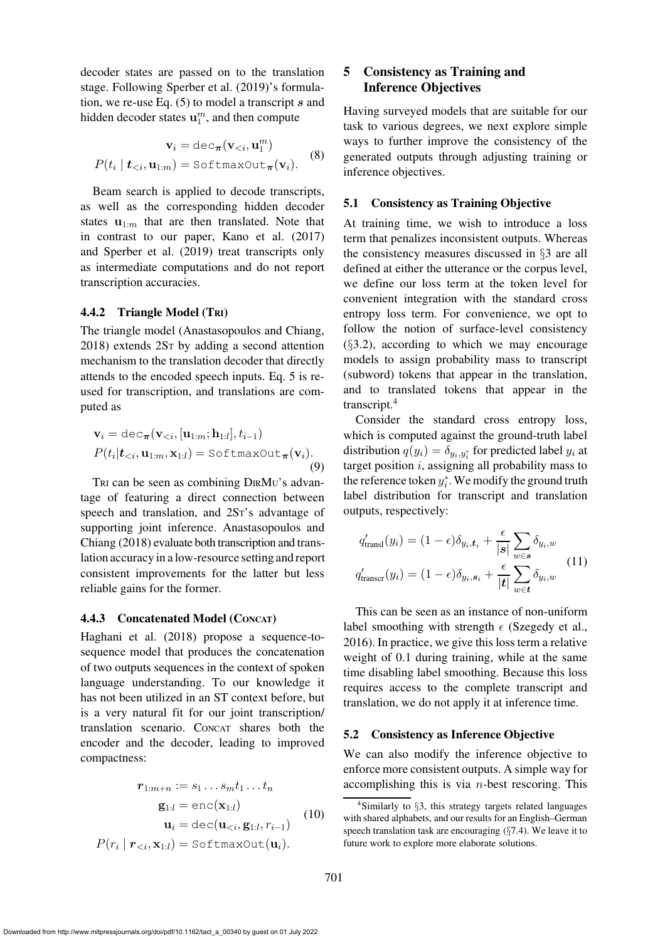decoder states are passed on to the translation stage. Following [Sperber et al. \(2019](#page-14-5))'s formulation, we re-use Eq.  $(5)$  to model a transcript s and hidden decoder states  $\mathbf{u}_1^m$ , and then compute

$$
\mathbf{v}_{i} = \text{dec}_{\boldsymbol{\pi}}(\mathbf{v}_{  

$$
P(t_{i} | \mathbf{t}_{ (8)
$$
$$

Beam search is applied to decode transcripts, as well as the corresponding hidden decoder states  $\mathbf{u}_{1:m}$  that are then translated. Note that in contrast to our paper, [Kano et al.](#page-13-6) [\(2017\)](#page-13-6) and [Sperber et al.](#page-14-5) [\(2019\)](#page-14-5) treat transcripts only as intermediate computations and do not report transcription accuracies.

### <span id="page-6-1"></span>4.4.2 Triangle Model (TRI)

The triangle model [\(Anastasopoulos and Chiang,](#page-11-0) [2018](#page-11-0)) extends 2ST by adding a second attention mechanism to the translation decoder that directly attends to the encoded speech inputs. Eq. [5](#page-4-3) is reused for transcription, and translations are computed as

$$
\mathbf{v}_{i} = \text{dec}_{\boldsymbol{\pi}}(\mathbf{v}_{  
\n
$$
P(t_{i}|\mathbf{t}_{\n(9)
$$
$$

TRI can be seen as combining DIRMU's advantage of featuring a direct connection between speech and translation, and 2ST's advantage of supporting joint inference. Anastasopoulos and Chiang [\(2018\)](#page-11-0) evaluate both transcription and translation accuracy in a low-resource setting and report consistent improvements for the latter but less reliable gains for the former.

#### <span id="page-6-2"></span>4.4.3 Concatenated Model (CONCAT)

Haghani et al. [\(2018](#page-12-5)) propose a sequence-tosequence model that produces the concatenation of two outputs sequences in the context of spoken language understanding. To our knowledge it has not been utilized in an ST context before, but is a very natural fit for our joint transcription/ translation scenario. CONCAT shares both the encoder and the decoder, leading to improved compactness:

$$
\mathbf{r}_{1:m+n} := s_1 \dots s_m t_1 \dots t_n
$$

$$
\mathbf{g}_{1:l} = \text{enc}(\mathbf{x}_{1:l})
$$

$$
\mathbf{u}_i = \text{dec}(\mathbf{u}_{< i}, \mathbf{g}_{1:l}, r_{i-1})
$$

$$
P(r_i \mid \mathbf{r}_{< i}, \mathbf{x}_{1:l}) = \text{SoftmaxOut}(\mathbf{u}_i).
$$
 (10)

# <span id="page-6-5"></span>5 Consistency as Training and Inference Objectives

Having surveyed models that are suitable for our task to various degrees, we next explore simple ways to further improve the consistency of the generated outputs through adjusting training or inference objectives.

## <span id="page-6-3"></span>5.1 Consistency as Training Objective

At training time, we wish to introduce a loss term that penalizes inconsistent outputs. Whereas the consistency measures discussed in §[3](#page-2-1) are all defined at either the utterance or the corpus level, we define our loss term at the token level for convenient integration with the standard cross entropy loss term. For convenience, we opt to follow the notion of surface-level consistency  $(\S3.2)$  $(\S3.2)$ , according to which we may encourage models to assign probability mass to transcript (subword) tokens that appear in the translation, and to translated tokens that appear in the transcript.[4](#page-6-0)

Consider the standard cross entropy loss, which is computed against the ground-truth label distribution  $q(y_i) = \delta_{y_i, y_i^*}$  for predicted label  $y_i$  at target position  $i$ , assigning all probability mass to the reference token  $y_i^*$ . We modify the ground truth label distribution for transcript and translation outputs, respectively:

$$
q'_{\text{transl}}(y_i) = (1 - \epsilon)\delta_{y_i, t_i} + \frac{\epsilon}{|s|} \sum_{w \in s} \delta_{y_i, w}
$$
  

$$
q'_{\text{transcr}}(y_i) = (1 - \epsilon)\delta_{y_i, s_i} + \frac{\epsilon}{|t|} \sum_{w \in t} \delta_{y_i, w}
$$
 (11)

This can be seen as an instance of non-uniform label smoothing with strength  $\epsilon$  [\(Szegedy et al.,](#page-14-6) [2016](#page-14-6)). In practice, we give this loss term a relative weight of 0.1 during training, while at the same time disabling label smoothing. Because this loss requires access to the complete transcript and translation, we do not apply it at inference time.

#### <span id="page-6-4"></span>5.2 Consistency as Inference Objective

We can also modify the inference objective to enforce more consistent outputs. A simple way for accomplishing this is via  $n$ -best rescoring. This

<span id="page-6-0"></span><sup>4</sup>Similarly to §[3,](#page-2-1) this strategy targets related languages with shared alphabets, and our results for an English–German speech translation task are encouraging (§[7.4\)](#page-10-0). We leave it to future work to explore more elaborate solutions.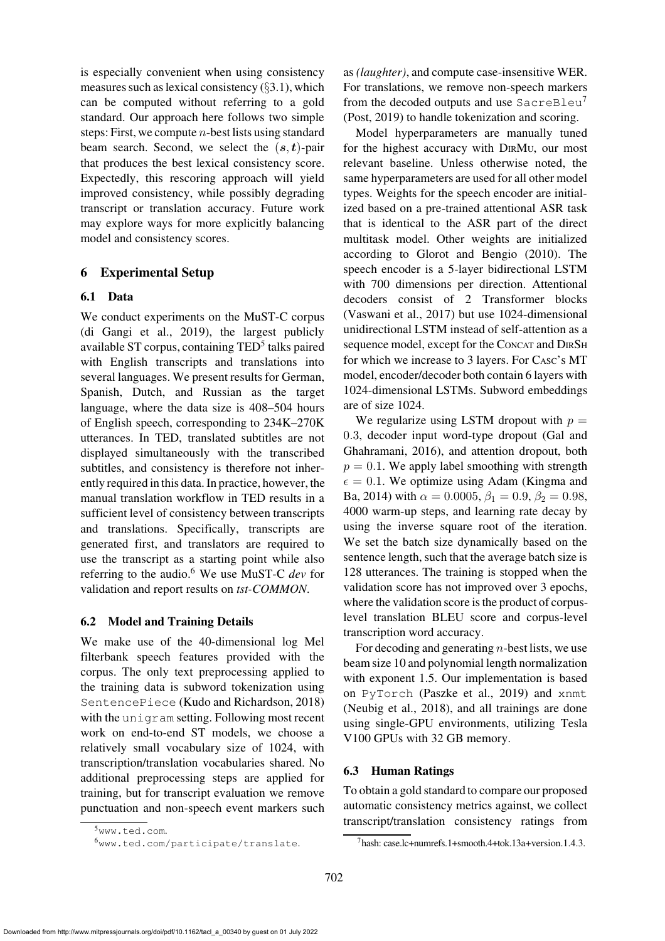is especially convenient when using consistency measures such as lexical consistency  $(\S 3.1)$  $(\S 3.1)$ , which can be computed without referring to a gold standard. Our approach here follows two simple steps: First, we compute  $n$ -best lists using standard beam search. Second, we select the  $(s, t)$ -pair that produces the best lexical consistency score. Expectedly, this rescoring approach will yield improved consistency, while possibly degrading transcript or translation accuracy. Future work may explore ways for more explicitly balancing model and consistency scores.

# 6 Experimental Setup

## 6.1 Data

We conduct experiments on the MuST-C corpus [\(di Gangi et al.](#page-12-6), [2019](#page-12-6)), the largest publicly available ST corpus, containing TED<sup>[5](#page-7-0)</sup> talks paired with English transcripts and translations into several languages. We present results for German, Spanish, Dutch, and Russian as the target language, where the data size is 408–504 hours of English speech, corresponding to 234K–270K utterances. In TED, translated subtitles are not displayed simultaneously with the transcribed subtitles, and consistency is therefore not inherently required in this data. In practice, however, the manual translation workflow in TED results in a sufficient level of consistency between transcripts and translations. Specifically, transcripts are generated first, and translators are required to use the transcript as a starting point while also referring to the audio.[6](#page-7-1) We use MuST-C *dev* for validation and report results on *tst-COMMON*.

### 6.2 Model and Training Details

We make use of the 40-dimensional log Mel filterbank speech features provided with the corpus. The only text preprocessing applied to the training data is subword tokenization using SentencePiece [\(Kudo and Richardson, 2018\)](#page-13-7) with the unigram setting. Following most recent work on end-to-end ST models, we choose a relatively small vocabulary size of 1024, with transcription/translation vocabularies shared. No additional preprocessing steps are applied for training, but for transcript evaluation we remove punctuation and non-speech event markers such as *(laughter)*, and compute case-insensitive WER. For translations, we remove non-speech markers from the decoded outputs and use SacreBleu<sup>[7](#page-7-2)</sup> [\(Post, 2019](#page-14-7)) to handle tokenization and scoring.

Model hyperparameters are manually tuned for the highest accuracy with DIRMU, our most relevant baseline. Unless otherwise noted, the same hyperparameters are used for all other model types. Weights for the speech encoder are initialized based on a pre-trained attentional ASR task that is identical to the ASR part of the direct multitask model. Other weights are initialized according to [Glorot and Bengio \(2010](#page-12-7)). The speech encoder is a 5-layer bidirectional LSTM with 700 dimensions per direction. Attentional decoders consist of 2 Transformer blocks [\(Vaswani et al., 2017](#page-14-4)) but use 1024-dimensional unidirectional LSTM instead of self-attention as a sequence model, except for the CONCAT and DIRSH for which we increase to 3 layers. For CASC's MT model, encoder/decoder both contain 6 layers with 1024-dimensional LSTMs. Subword embeddings are of size 1024.

We regularize using LSTM dropout with  $p =$ 0.3, decoder input word-type dropout (Gal and Ghahramani, [2016\)](#page-12-8), and attention dropout, both  $p = 0.1$ . We apply label smoothing with strength  $\epsilon = 0.1$ [. We optimize using Adam \(](#page-13-8)Kingma and Ba, [2014](#page-13-8)) with  $\alpha = 0.0005$ ,  $\beta_1 = 0.9$ ,  $\beta_2 = 0.98$ , 4000 warm-up steps, and learning rate decay by using the inverse square root of the iteration. We set the batch size dynamically based on the sentence length, such that the average batch size is 128 utterances. The training is stopped when the validation score has not improved over 3 epochs, where the validation score is the product of corpuslevel translation BLEU score and corpus-level transcription word accuracy.

For decoding and generating  $n$ -best lists, we use beam size 10 and polynomial length normalization with exponent 1.5. Our implementation is based on PyTorch [\(Paszke et al., 2019\)](#page-13-9) and xnmt [\(Neubig et al., 2018\)](#page-13-10), and all trainings are done using single-GPU environments, utilizing Tesla V100 GPUs with 32 GB memory.

# <span id="page-7-3"></span>6.3 Human Ratings

To obtain a gold standard to compare our proposed automatic consistency metrics against, we collect transcript/translation consistency ratings from

<sup>5</sup>[www.ted.com](http://www.ted.com).

<span id="page-7-1"></span><span id="page-7-0"></span><sup>6</sup>[www.ted.com/participate/translate](http://www.ted.com/participate/translate).

<span id="page-7-2"></span><sup>7</sup>hash: case.lc+numrefs.1+smooth.4+tok.13a+version.1.4.3.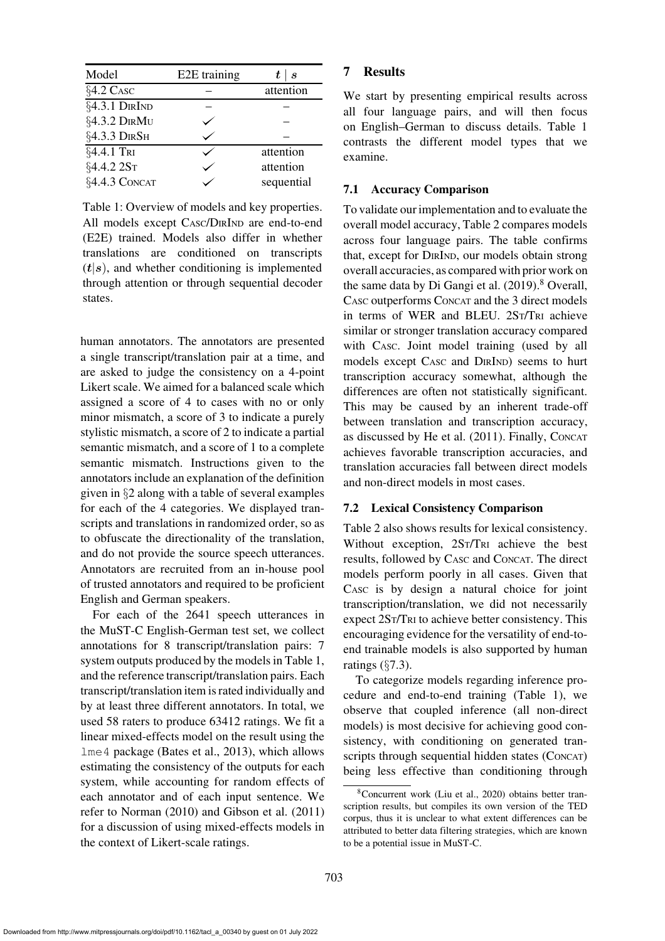| Model         | E2E training | $t \mid s$ |
|---------------|--------------|------------|
| §4.2 CASC     |              | attention  |
| §4.3.1 DIRIND |              |            |
| §4.3.2 DIRMU  |              |            |
| §4.3.3 DIRSH  |              |            |
| §4.4.1 TRI    |              | attention  |
| §4.4.2 2ST    |              | attention  |
| §4.4.3 CONCAT |              | sequential |

<span id="page-8-0"></span>Table 1: Overview of models and key properties. All models except CASC/DIRIND are end-to-end (E2E) trained. Models also differ in whether translations are conditioned on transcripts  $(t|s)$ , and whether conditioning is implemented through attention or through sequential decoder states.

human annotators. The annotators are presented a single transcript/translation pair at a time, and are asked to judge the consistency on a 4-point Likert scale. We aimed for a balanced scale which assigned a score of 4 to cases with no or only minor mismatch, a score of 3 to indicate a purely stylistic mismatch, a score of 2 to indicate a partial semantic mismatch, and a score of 1 to a complete semantic mismatch. Instructions given to the annotators include an explanation of the definition given in §[2](#page-1-3) along with a table of several examples for each of the 4 categories. We displayed transcripts and translations in randomized order, so as to obfuscate the directionality of the translation, and do not provide the source speech utterances. Annotators are recruited from an in-house pool of trusted annotators and required to be proficient English and German speakers.

For each of the 2641 speech utterances in the MuST-C English-German test set, we collect annotations for 8 transcript/translation pairs: 7 system outputs produced by the models in [Table 1,](#page-8-0) and the reference transcript/translation pairs. Each transcript/translation item is rated individually and by at least three different annotators. In total, we used 58 raters to produce 63412 ratings. We fit a linear mixed-effects model on the result using the lme4 package [\(Bates et al., 2013](#page-12-9)), which allows estimating the consistency of the outputs for each system, while accounting for random effects of each annotator and of each input sentence. We refer to [Norman](#page-13-11) [\(2010\)](#page-13-11) and [Gibson et al.](#page-12-10) [\(2011\)](#page-12-10) for a discussion of using mixed-effects models in the context of Likert-scale ratings.

# 7 Results

We start by presenting empirical results across all four language pairs, and will then focus on English–German to discuss details. [Table 1](#page-8-0) contrasts the different model types that we examine.

# 7.1 Accuracy Comparison

To validate our implementation and to evaluate the overall model accuracy, [Table 2](#page-9-1) compares models across four language pairs. The table confirms that, except for DIRIND, our models obtain strong overall accuracies, as compared with prior work on the same data by Di Gangi et al.  $(2019)$ .<sup>[8](#page-8-1)</sup> Overall, CASC outperforms CONCAT and the 3 direct models in terms of WER and BLEU. 2ST/TRI achieve similar or stronger translation accuracy compared with CASC. Joint model training (used by all models except CASC and DIRIND) seems to hurt transcription accuracy somewhat, although the differences are often not statistically significant. This may be caused by an inherent trade-off between translation and transcription accuracy, as discussed by [He et al.](#page-12-12) [\(2011\)](#page-12-12). Finally, CONCAT achieves favorable transcription accuracies, and translation accuracies fall between direct models and non-direct models in most cases.

# 7.2 Lexical Consistency Comparison

[Table 2](#page-9-1) also shows results for lexical consistency. Without exception, 2ST/TRI achieve the best results, followed by CASC and CONCAT. The direct models perform poorly in all cases. Given that CASC is by design a natural choice for joint transcription/translation, we did not necessarily expect 2ST/TRI to achieve better consistency. This encouraging evidence for the versatility of end-toend trainable models is also supported by human ratings  $(\S7.3)$  $(\S7.3)$ .

To categorize models regarding inference procedure and end-to-end training [\(Table 1\)](#page-8-0), we observe that coupled inference (all non-direct models) is most decisive for achieving good consistency, with conditioning on generated transcripts through sequential hidden states (CONCAT) being less effective than conditioning through

<span id="page-8-1"></span><sup>8</sup>Concurrent work [\(Liu et al., 2020](#page-13-12)) obtains better transcription results, but compiles its own version of the TED corpus, thus it is unclear to what extent differences can be attributed to better data filtering strategies, which are known to be a potential issue in MuST-C.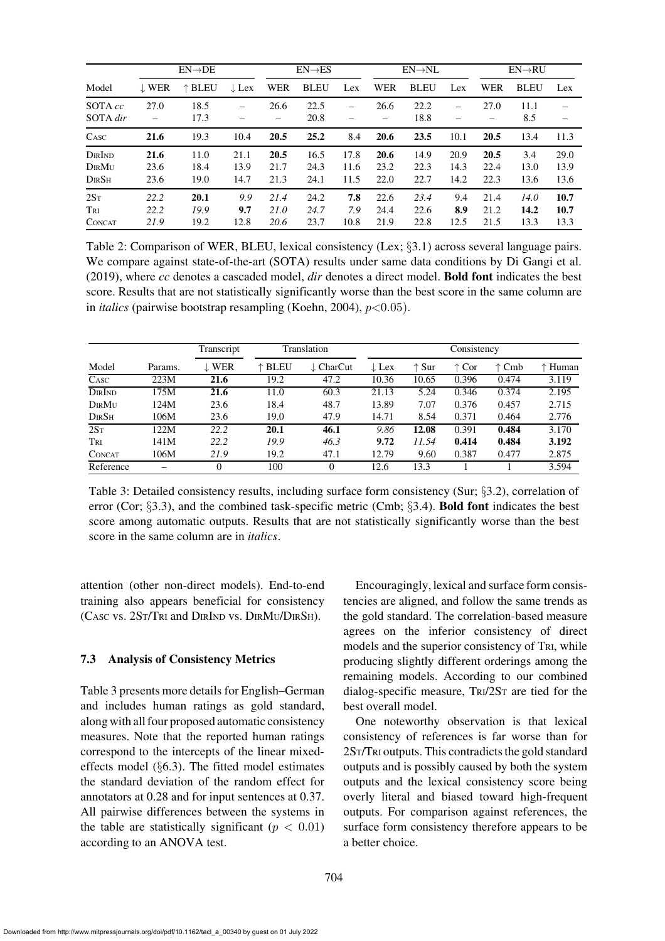|                                         |                      | $EN\rightarrow DE$   |                      |                      | $EN \rightarrow ES$  |                      |                      | $EN \rightarrow NL$  |                      |                      | $EN\rightarrow RU$   |                      |
|-----------------------------------------|----------------------|----------------------|----------------------|----------------------|----------------------|----------------------|----------------------|----------------------|----------------------|----------------------|----------------------|----------------------|
| Model                                   | $\downarrow$ WER     | $\uparrow$ BLEU      | $\downarrow$ Lex     | WER                  | <b>BLEU</b>          | Lex                  | <b>WER</b>           | <b>BLEU</b>          | Lex                  | WER                  | <b>BLEU</b>          | Lex                  |
| SOTA cc<br>SOTA dir                     | 27.0                 | 18.5<br>17.3         |                      | 26.6                 | 22.5<br>20.8         |                      | 26.6                 | 22.2<br>18.8         |                      | 27.0                 | 11.1<br>8.5          |                      |
| CASC                                    | 21.6                 | 19.3                 | 10.4                 | 20.5                 | 25.2                 | 8.4                  | 20.6                 | 23.5                 | 10.1                 | 20.5                 | 13.4                 | 11.3                 |
| DIRIND<br>DIRMU<br>$D$ ir $S$ h         | 21.6<br>23.6<br>23.6 | 11.0<br>18.4<br>19.0 | 21.1<br>13.9<br>14.7 | 20.5<br>21.7<br>21.3 | 16.5<br>24.3<br>24.1 | 17.8<br>11.6<br>11.5 | 20.6<br>23.2<br>22.0 | 14.9<br>22.3<br>22.7 | 20.9<br>14.3<br>14.2 | 20.5<br>22.4<br>22.3 | 3.4<br>13.0<br>13.6  | 29.0<br>13.9<br>13.6 |
| 2S <sub>T</sub><br>Tri<br><b>CONCAT</b> | 22.2<br>22.2<br>21.9 | 20.1<br>19.9<br>19.2 | 9.9<br>9.7<br>12.8   | 21.4<br>21.0<br>20.6 | 24.2<br>24.7<br>23.7 | 7.8<br>7.9<br>10.8   | 22.6<br>24.4<br>21.9 | 23.4<br>22.6<br>22.8 | 9.4<br>8.9<br>12.5   | 21.4<br>21.2<br>21.5 | 14.0<br>14.2<br>13.3 | 10.7<br>10.7<br>13.3 |

<span id="page-9-1"></span>Table 2: Comparison of WER, BLEU, lexical consistency (Lex; §[3.1\)](#page-2-3) across several language pairs. We compare against state-of-the-art (SOTA) results under same data conditions by [Di Gangi et al.](#page-12-11) [\(2019\)](#page-12-11), where *cc* denotes a cascaded model, *dir* denotes a direct model. Bold font indicates the best score. Results that are not statistically significantly worse than the best score in the same column are in *italics* (pairwise bootstrap resampling [\(Koehn](#page-13-13), [2004\)](#page-13-13),  $p<0.05$ ).

|                          |         | Transcript       |                 | Translation          |                  |                | Consistency    |                |         |
|--------------------------|---------|------------------|-----------------|----------------------|------------------|----------------|----------------|----------------|---------|
| Model                    | Params. | $\downarrow$ WER | $\uparrow$ BLEU | $\downarrow$ CharCut | $\downarrow$ Lex | $\uparrow$ Sur | $\uparrow$ Cor | $\uparrow$ Cmb | ↑ Human |
| $\overline{\text{Casc}}$ | 223M    | 21.6             | 19.2            | 47.2                 | 10.36            | 10.65          | 0.396          | 0.474          | 3.119   |
| DIRIND                   | 175M    | 21.6             | 11.0            | 60.3                 | 21.13            | 5.24           | 0.346          | 0.374          | 2.195   |
| DIRMU                    | 124M    | 23.6             | 18.4            | 48.7                 | 13.89            | 7.07           | 0.376          | 0.457          | 2.715   |
| DIRSH                    | 106M    | 23.6             | 19.0            | 47.9                 | 14.71            | 8.54           | 0.371          | 0.464          | 2.776   |
| 2S <sub>T</sub>          | 122M    | 22.2             | 20.1            | 46.1                 | 9.86             | 12.08          | 0.391          | 0.484          | 3.170   |
| TRI                      | 141M    | 22.2             | 19.9            | 46.3                 | 9.72             | 11.54          | 0.414          | 0.484          | 3.192   |
| <b>CONCAT</b>            | 106M    | 21.9             | 19.2            | 47.1                 | 12.79            | 9.60           | 0.387          | 0.477          | 2.875   |
| Reference                |         | $\theta$         | 100             | 0                    | 12.6             | 13.3           |                |                | 3.594   |

<span id="page-9-2"></span>Table 3: Detailed consistency results, including surface form consistency (Sur; §[3.2\)](#page-2-2), correlation of error (Cor; §[3.3\)](#page-3-1), and the combined task-specific metric (Cmb; §[3.4\)](#page-3-2). Bold font indicates the best score among automatic outputs. Results that are not statistically significantly worse than the best score in the same column are in *italics*.

attention (other non-direct models). End-to-end training also appears beneficial for consistency (CASC vs. 2ST/TRI and DIRIND vs. DIRMU/DIRSH).

#### <span id="page-9-0"></span>7.3 Analysis of Consistency Metrics

[Table 3](#page-9-2) presents more details for English–German and includes human ratings as gold standard, along with all four proposed automatic consistency measures. Note that the reported human ratings correspond to the intercepts of the linear mixedeffects model (§[6.3\)](#page-7-3). The fitted model estimates the standard deviation of the random effect for annotators at 0.28 and for input sentences at 0.37. All pairwise differences between the systems in the table are statistically significant ( $p < 0.01$ ) according to an ANOVA test.

Encouragingly, lexical and surface form consistencies are aligned, and follow the same trends as the gold standard. The correlation-based measure agrees on the inferior consistency of direct models and the superior consistency of TRI, while producing slightly different orderings among the remaining models. According to our combined dialog-specific measure, TRI/2S<sup>T</sup> are tied for the best overall model.

One noteworthy observation is that lexical consistency of references is far worse than for 2ST/TRI outputs. This contradicts the gold standard outputs and is possibly caused by both the system outputs and the lexical consistency score being overly literal and biased toward high-frequent outputs. For comparison against references, the surface form consistency therefore appears to be a better choice.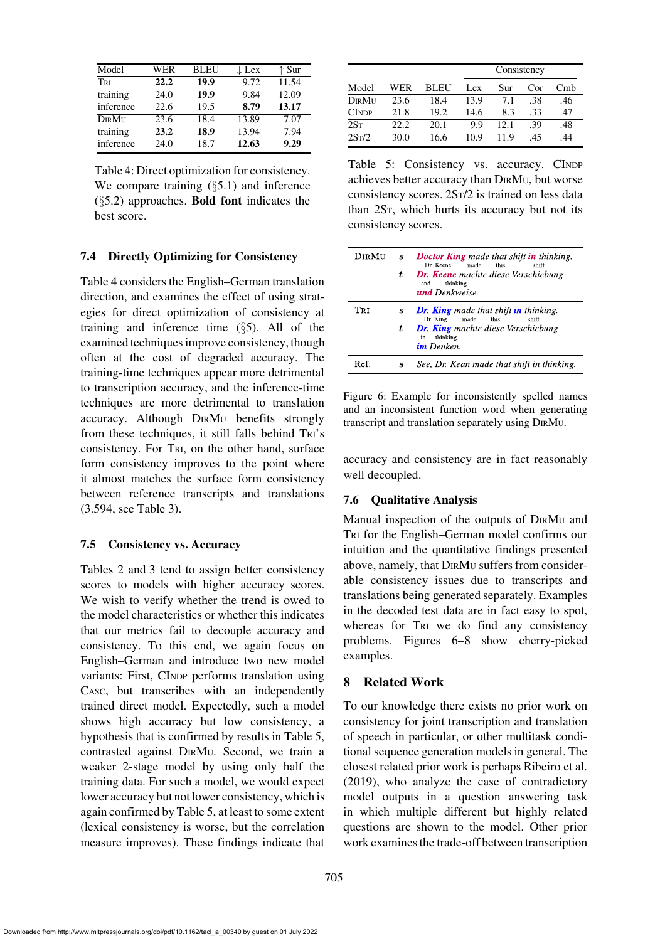| Model     | WER  | <b>BLEU</b> | $\downarrow$ Lex | ↑ Sur |
|-----------|------|-------------|------------------|-------|
| TRI       | 22.2 | 19.9        | 9.72             | 11.54 |
| training  | 24.0 | 19.9        | 9.84             | 12.09 |
| inference | 22.6 | 19.5        | 8.79             | 13.17 |
| DIRMU     | 23.6 | 18.4        | 13.89            | 7.07  |
| training  | 23.2 | 18.9        | 13.94            | 7.94  |
| inference | 24.0 | 18.7        | 12.63            | 9.29  |
|           |      |             |                  |       |

<span id="page-10-1"></span>Table 4: Direct optimization for consistency. We compare training  $(\S 5.1)$  $(\S 5.1)$  and inference  $(\S 5.2)$  $(\S 5.2)$  approaches. **Bold font** indicates the best score.

### <span id="page-10-0"></span>7.4 Directly Optimizing for Consistency

[Table 4](#page-10-1) considers the English–German translation direction, and examines the effect of using strategies for direct optimization of consistency at training and inference time  $(\S 5)$  $(\S 5)$ . All of the examined techniques improve consistency, though often at the cost of degraded accuracy. The training-time techniques appear more detrimental to transcription accuracy, and the inference-time techniques are more detrimental to translation accuracy. Although DIRM<sup>U</sup> benefits strongly from these techniques, it still falls behind TRI's consistency. For TRI, on the other hand, surface form consistency improves to the point where it almost matches the surface form consistency between reference transcripts and translations (3.594, see [Table 3\)](#page-9-2).

### 7.5 Consistency vs. Accuracy

[Tables 2](#page-9-1) and [3](#page-9-2) tend to assign better consistency scores to models with higher accuracy scores. We wish to verify whether the trend is owed to the model characteristics or whether this indicates that our metrics fail to decouple accuracy and consistency. To this end, we again focus on English–German and introduce two new model variants: First, CINDP performs translation using CASC, but transcribes with an independently trained direct model. Expectedly, such a model shows high accuracy but low consistency, a hypothesis that is confirmed by results in [Table 5,](#page-10-2) contrasted against DIRMU. Second, we train a weaker 2-stage model by using only half the training data. For such a model, we would expect lower accuracy but not lower consistency, which is again confirmed by [Table 5,](#page-10-2) at least to some extent (lexical consistency is worse, but the correlation measure improves). These findings indicate that

|                    |       |      |      | Consistency |     |     |
|--------------------|-------|------|------|-------------|-----|-----|
| Model              | WER   | BLEU | Lex  | Sur         | Cor | Cmb |
| <b>DIRMI</b> I     | 23.6  | 18.4 | 13.9 | 7.1         | .38 | .46 |
| <b>CINDP</b>       | 21.8  | 19.2 | 14.6 | 8.3         | .33 | .47 |
| 2S <sub>T</sub>    | 22.2. | 20.1 | 9.9  | 12.1        | -39 | .48 |
| 2S <sub>T</sub> /2 | 30.0  | 16.6 | 10.9 | 11.9        | .45 | 44  |

<span id="page-10-2"></span>Table 5: Consistency vs. accuracy. CINDP achieves better accuracy than DIRMU, but worse consistency scores. 2ST/2 is trained on less data than 2ST, which hurts its accuracy but not its consistency scores.

| <b>Dir Mu</b> | s | Doctor King made that shift in thinking.<br>Dr. Keene<br>made<br>this<br>shift           |
|---------------|---|------------------------------------------------------------------------------------------|
|               | ŧ | <b>Dr. Keene</b> machte diese Verschiebung<br>thinking.<br>and<br><b>und</b> Denkweise.  |
| Tri           | S | <b>Dr. King</b> made that shift <b>in</b> thinking.<br>Dr. King<br>made<br>this<br>shift |
|               | ŧ | <b>Dr. King</b> machte diese Verschiebung<br>thinking.<br>in<br><b>im</b> Denken.        |
| Ref           | S | See, Dr. Kean made that shift in thinking.                                               |

<span id="page-10-3"></span>Figure 6: Example for inconsistently spelled names and an inconsistent function word when generating transcript and translation separately using DIRMU.

accuracy and consistency are in fact reasonably well decoupled.

## 7.6 Qualitative Analysis

Manual inspection of the outputs of DIRM<sup>U</sup> and TRI for the English–German model confirms our intuition and the quantitative findings presented above, namely, that DIRM<sup>U</sup> suffers from considerable consistency issues due to transcripts and translations being generated separately. Examples in the decoded test data are in fact easy to spot, whereas for TRI we do find any consistency problems. [Figures 6–](#page-10-3)[8](#page-11-1) show cherry-picked examples.

# 8 Related Work

To our knowledge there exists no prior work on consistency for joint transcription and translation of speech in particular, or other multitask conditional sequence generation models in general. The closest related prior work is perhaps [Ribeiro et al.](#page-14-8) [\(2019](#page-14-8)), who analyze the case of contradictory model outputs in a question answering task in which multiple different but highly related questions are shown to the model. Other prior work examines the trade-off between transcription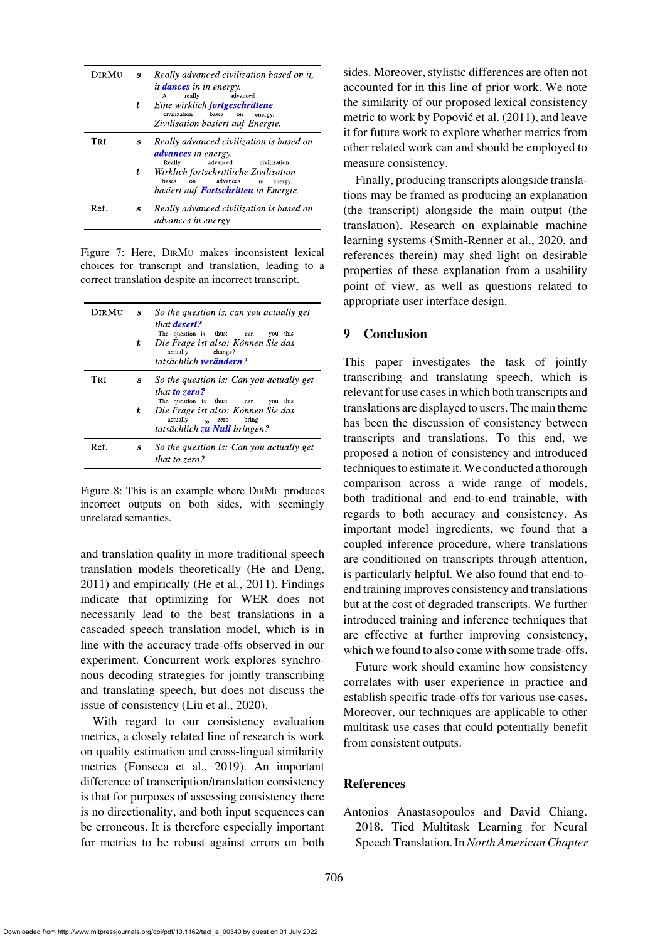| Dir Mit | $\boldsymbol{s}$ | Really advanced civilization based on it,<br><i>it dances in in energy.</i><br>advanced<br>really<br>A                              |
|---------|------------------|-------------------------------------------------------------------------------------------------------------------------------------|
|         | ŧ                | Eine wirklich <b>fortgeschrittene</b><br>civilization<br>bases<br>on<br>energy.<br>Zivilisation basiert auf Energie.                |
| Tri     | s                | Really advanced civilization is based on<br><b><i>advances</i></b> in energy.<br>Really<br>advanced<br>civilization                 |
|         | t.               | Wirklich fortschrittliche Zivilisation<br>advances<br>bases<br>on.<br>in<br>energy.<br>basiert auf <b>Fortschritten</b> in Energie. |
| Ref.    | S                | Really advanced civilization is based on<br><i>advances in energy.</i>                                                              |

Figure 7: Here, DIRM<sup>U</sup> makes inconsistent lexical choices for transcript and translation, leading to a correct translation despite an incorrect transcript.

| <b>Dir Mu</b> | $\boldsymbol{s}$<br>t | So the question is, can you actually get<br>that <b>desert?</b><br>The question is thus:<br>this<br>you<br>can<br>Die Frage ist also: Können Sie das<br>actually<br>change?<br>tatsächlich <b>verändern</b> ? |
|---------------|-----------------------|---------------------------------------------------------------------------------------------------------------------------------------------------------------------------------------------------------------|
| Tri           | S                     | So the question is: Can you actually get<br>that <b>to zero?</b>                                                                                                                                              |
|               | t                     | The question is thus:<br>this<br>you<br>can<br>Die Frage ist also: Können Sie das<br>actually<br>bring<br>$\frac{1}{10}$ zero<br>tatsächlich zu Null bringen?                                                 |
| Ref.          | s                     | So the question is: Can you actually get<br>that to zero?                                                                                                                                                     |

<span id="page-11-1"></span>Figure 8: This is an example where DIRM<sup>U</sup> produces incorrect outputs on both sides, with seemingly unrelated semantics.

and translation quality in more traditional speech translation models theoretically [\(He and Deng,](#page-12-13) [2011](#page-12-13)) and empirically [\(He et al.](#page-12-12), [2011](#page-12-12)). Findings indicate that optimizing for WER does not necessarily lead to the best translations in a cascaded speech translation model, which is in line with the accuracy trade-offs observed in our experiment. Concurrent work explores synchronous decoding strategies for jointly transcribing and translating speech, but does not discuss the issue of consistency [\(Liu et al., 2020](#page-13-12)).

With regard to our consistency evaluation metrics, a closely related line of research is work on quality estimation and cross-lingual similarity metrics [\(Fonseca et al., 2019](#page-12-14)). An important difference of transcription/translation consistency is that for purposes of assessing consistency there is no directionality, and both input sequences can be erroneous. It is therefore especially important for metrics to be robust against errors on both sides. Moreover, stylistic differences are often not accounted for in this line of prior work. We note the similarity of our proposed lexical consistency metric to work by Popović et al. (2011), and leave it for future work to explore whether metrics from other related work can and should be employed to measure consistency.

Finally, producing transcripts alongside translations may be framed as producing an explanation (the transcript) alongside the main output (the translation). Research on explainable machine learning systems [\(Smith-Renner et al.](#page-14-9), [2020,](#page-14-9) and references therein) may shed light on desirable properties of these explanation from a usability point of view, as well as questions related to appropriate user interface design.

## 9 Conclusion

This paper investigates the task of jointly transcribing and translating speech, which is relevant for use cases in which both transcripts and translations are displayed to users. The main theme has been the discussion of consistency between transcripts and translations. To this end, we proposed a notion of consistency and introduced techniques to estimate it.We conducted a thorough comparison across a wide range of models, both traditional and end-to-end trainable, with regards to both accuracy and consistency. As important model ingredients, we found that a coupled inference procedure, where translations are conditioned on transcripts through attention, is particularly helpful. We also found that end-toend training improves consistency and translations but at the cost of degraded transcripts. We further introduced training and inference techniques that are effective at further improving consistency, which we found to also come with some trade-offs.

Future work should examine how consistency correlates with user experience in practice and establish specific trade-offs for various use cases. Moreover, our techniques are applicable to other multitask use cases that could potentially benefit from consistent outputs.

#### References

<span id="page-11-0"></span>Antonios Anastasopoulos and David Chiang. 2018. Tied Multitask Learning for Neural Speech Translation. In*North American Chapter*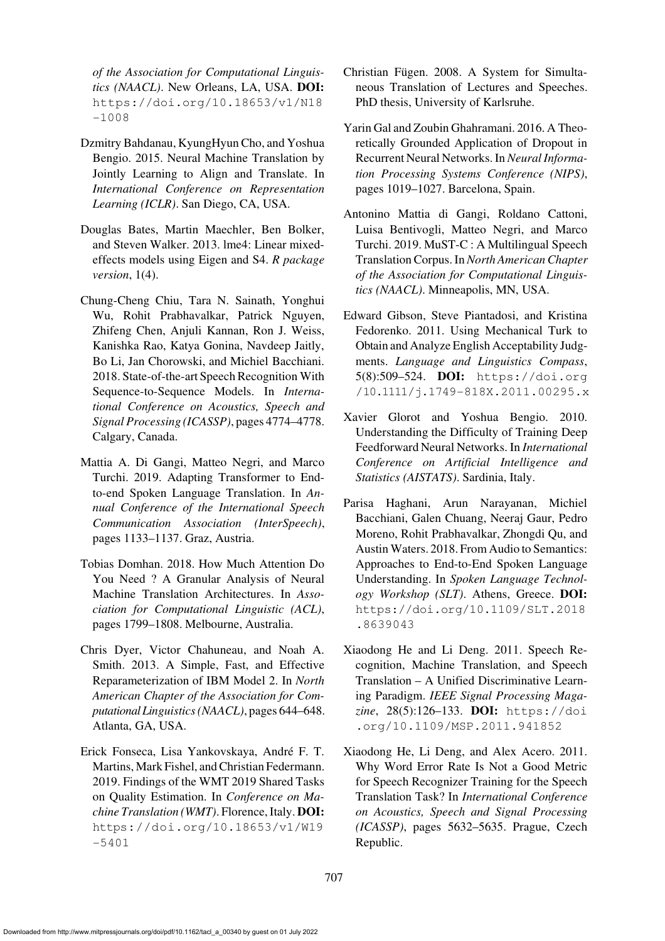*of the Association for Computational Linguistics (NAACL)*. New Orleans, LA, USA. DOI: [https://doi.org/10.18653/v1/N18](https://doi.org/10.18653/v1/N18-1008) [-1008](https://doi.org/10.18653/v1/N18-1008)

- <span id="page-12-2"></span>Dzmitry Bahdanau, KyungHyun Cho, and Yoshua Bengio. 2015. Neural Machine Translation by Jointly Learning to Align and Translate. In *International Conference on Representation Learning (ICLR)*. San Diego, CA, USA.
- <span id="page-12-9"></span>Douglas Bates, Martin Maechler, Ben Bolker, and Steven Walker. 2013. lme4: Linear mixedeffects models using Eigen and S4. *R package version*, 1(4).
- <span id="page-12-3"></span>Chung-Cheng Chiu, Tara N. Sainath, Yonghui Wu, Rohit Prabhavalkar, Patrick Nguyen, Zhifeng Chen, Anjuli Kannan, Ron J. Weiss, Kanishka Rao, Katya Gonina, Navdeep Jaitly, Bo Li, Jan Chorowski, and Michiel Bacchiani. 2018. State-of-the-art Speech Recognition With Sequence-to-Sequence Models. In *International Conference on Acoustics, Speech and Signal Processing (ICASSP)*, pages 4774–4778. Calgary, Canada.
- <span id="page-12-11"></span>Mattia A. Di Gangi, Matteo Negri, and Marco Turchi. 2019. Adapting Transformer to Endto-end Spoken Language Translation. In *Annual Conference of the International Speech Communication Association (InterSpeech)*, pages 1133–1137. Graz, Austria.
- <span id="page-12-4"></span>Tobias Domhan. 2018. How Much Attention Do You Need ? A Granular Analysis of Neural Machine Translation Architectures. In *Association for Computational Linguistic (ACL)*, pages 1799–1808. Melbourne, Australia.
- <span id="page-12-1"></span>Chris Dyer, Victor Chahuneau, and Noah A. Smith. 2013. A Simple, Fast, and Effective Reparameterization of IBM Model 2. In *North American Chapter of the Association for Computational Linguistics (NAACL)*, pages 644–648. Atlanta, GA, USA.
- <span id="page-12-14"></span>Erick Fonseca, Lisa Yankovskaya, Andre F. T. ´ Martins, Mark Fishel, and Christian Federmann. 2019. Findings of the WMT 2019 Shared Tasks on Quality Estimation. In *Conference on Machine Translation (WMT)*. Florence, Italy. DOI: [https://doi.org/10.18653/v1/W19](https://doi.org/10.18653/v1/W19-) [-5401](https://doi.org/10.18653/v1/W19-5401)
- <span id="page-12-0"></span>Christian Fügen. 2008. A System for Simultaneous Translation of Lectures and Speeches. PhD thesis, University of Karlsruhe.
- <span id="page-12-8"></span>Yarin Gal and Zoubin Ghahramani. 2016. A Theoretically Grounded Application of Dropout in Recurrent Neural Networks. In *Neural Information Processing Systems Conference (NIPS)*, pages 1019–1027. Barcelona, Spain.
- <span id="page-12-6"></span>Antonino Mattia di Gangi, Roldano Cattoni, Luisa Bentivogli, Matteo Negri, and Marco Turchi. 2019. MuST-C : A Multilingual Speech Translation Corpus. In*North American Chapter of the Association for Computational Linguistics (NAACL)*. Minneapolis, MN, USA.
- <span id="page-12-10"></span>Edward Gibson, Steve Piantadosi, and Kristina Fedorenko. 2011. Using Mechanical Turk to Obtain and Analyze English Acceptability Judgments. *Language and Linguistics Compass*, 5(8):509–524. DOI: [https://doi.org](https://doi.org/10.1111/j.1749-818X.2011.00295.x) [/10.1111/j.1749-818X.2011.00295.x](https://doi.org/10.1111/j.1749-818X.2011.00295.x)
- <span id="page-12-7"></span>Xavier Glorot and Yoshua Bengio. 2010. Understanding the Difficulty of Training Deep Feedforward Neural Networks. In *International Conference on Artificial Intelligence and Statistics (AISTATS)*. Sardinia, Italy.
- <span id="page-12-5"></span>Parisa Haghani, Arun Narayanan, Michiel Bacchiani, Galen Chuang, Neeraj Gaur, Pedro Moreno, Rohit Prabhavalkar, Zhongdi Qu, and Austin Waters. 2018. From Audio to Semantics: Approaches to End-to-End Spoken Language Understanding. In *Spoken Language Technology Workshop (SLT)*. Athens, Greece. DOI: [https://doi.org/10.1109/SLT.2018](https://doi.org/10.1109/SLT.2018.8639043) [.8639043](https://doi.org/10.1109/SLT.2018.8639043)
- <span id="page-12-13"></span>Xiaodong He and Li Deng. 2011. Speech Recognition, Machine Translation, and Speech Translation – A Unified Discriminative Learning Paradigm. *IEEE Signal Processing Magazine*, 28(5):126–133. DOI: [https://doi](https://doi.org/10.1109/MSP.2011.941852) [.org/10.1109/MSP.2011.941852](https://doi.org/10.1109/MSP.2011.941852)
- <span id="page-12-12"></span>Xiaodong He, Li Deng, and Alex Acero. 2011. Why Word Error Rate Is Not a Good Metric for Speech Recognizer Training for the Speech Translation Task? In *International Conference on Acoustics, Speech and Signal Processing (ICASSP)*, pages 5632–5635. Prague, Czech Republic.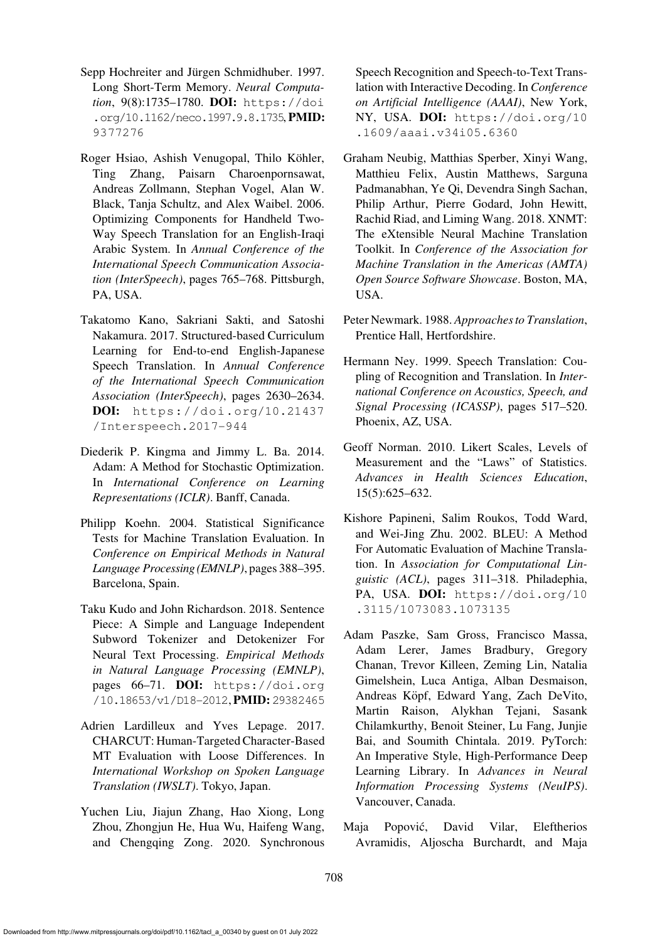- <span id="page-13-5"></span>Sepp Hochreiter and Jürgen Schmidhuber. 1997. Long Short-Term Memory. *Neural Computation*, 9(8):1735–1780. DOI: [https://doi](https://doi.org/10.1162/neco.1997.9.8.1735) [.org/10.1162/neco.1997.9.8.1735](https://doi.org/10.1162/neco.1997.9.8.1735), PMID: [9377276](https://europepmc.org/article/MED/9377276)
- <span id="page-13-1"></span>Roger Hsiao, Ashish Venugopal, Thilo Köhler, Ting Zhang, Paisarn Charoenpornsawat, Andreas Zollmann, Stephan Vogel, Alan W. Black, Tanja Schultz, and Alex Waibel. 2006. Optimizing Components for Handheld Two-Way Speech Translation for an English-Iraqi Arabic System. In *Annual Conference of the International Speech Communication Association (InterSpeech)*, pages 765–768. Pittsburgh, PA, USA.
- <span id="page-13-6"></span>Takatomo Kano, Sakriani Sakti, and Satoshi Nakamura. 2017. Structured-based Curriculum Learning for End-to-end English-Japanese Speech Translation. In *Annual Conference of the International Speech Communication Association (InterSpeech)*, pages 2630–2634. DOI: [https://doi.org/10.21437](https://doi.org/10.21437/Interspeech.2017-944) [/Interspeech.2017-944](https://doi.org/10.21437/Interspeech.2017-944)
- <span id="page-13-8"></span>Diederik P. Kingma and Jimmy L. Ba. 2014. Adam: A Method for Stochastic Optimization. In *International Conference on Learning Representations (ICLR)*. Banff, Canada.
- <span id="page-13-13"></span>Philipp Koehn. 2004. Statistical Significance Tests for Machine Translation Evaluation. In *Conference on Empirical Methods in Natural Language Processing (EMNLP)*, pages 388–395. Barcelona, Spain.
- <span id="page-13-7"></span>Taku Kudo and John Richardson. 2018. Sentence Piece: A Simple and Language Independent Subword Tokenizer and Detokenizer For Neural Text Processing. *Empirical Methods in Natural Language Processing (EMNLP)*, pages 66–71. DOI: [https://doi.org](https://doi.org/10.18653/v1/D18-2012) [/10.18653/v1/D18-2012](https://doi.org/10.18653/v1/D18-2012), PMID: [29382465](https://europepmc.org/article/MED/29382465)
- <span id="page-13-4"></span>Adrien Lardilleux and Yves Lepage. 2017. CHARCUT: Human-Targeted Character-Based MT Evaluation with Loose Differences. In *International Workshop on Spoken Language Translation (IWSLT)*. Tokyo, Japan.
- <span id="page-13-12"></span>Yuchen Liu, Jiajun Zhang, Hao Xiong, Long Zhou, Zhongjun He, Hua Wu, Haifeng Wang, and Chengqing Zong. 2020. Synchronous

Speech Recognition and Speech-to-Text Translation with Interactive Decoding. In *Conference on Artificial Intelligence (AAAI)*, New York, NY, USA. DOI: [https://doi.org/10](https://doi.org/10.1609/aaai.v34i05.6360) [.1609/aaai.v34i05.6360](https://doi.org/10.1609/aaai.v34i05.6360)

- <span id="page-13-10"></span>Graham Neubig, Matthias Sperber, Xinyi Wang, Matthieu Felix, Austin Matthews, Sarguna Padmanabhan, Ye Qi, Devendra Singh Sachan, Philip Arthur, Pierre Godard, John Hewitt, Rachid Riad, and Liming Wang. 2018. XNMT: The eXtensible Neural Machine Translation Toolkit. In *Conference of the Association for Machine Translation in the Americas (AMTA) Open Source Software Showcase*. Boston, MA, USA.
- <span id="page-13-3"></span>Peter Newmark. 1988. *Approaches to Translation*, Prentice Hall, Hertfordshire.
- <span id="page-13-0"></span>Hermann Ney. 1999. Speech Translation: Coupling of Recognition and Translation. In *International Conference on Acoustics, Speech, and Signal Processing (ICASSP)*, pages 517–520. Phoenix, AZ, USA.
- <span id="page-13-11"></span>Geoff Norman. 2010. Likert Scales, Levels of Measurement and the "Laws" of Statistics. *Advances in Health Sciences Education*, 15(5):625–632.
- <span id="page-13-2"></span>Kishore Papineni, Salim Roukos, Todd Ward, and Wei-Jing Zhu. 2002. BLEU: A Method For Automatic Evaluation of Machine Translation. In *Association for Computational Linguistic (ACL)*, pages 311–318. Philadephia, PA, USA. DOI: [https://doi.org/10](https://doi.org/10.3115/1073083.1073135) [.3115/1073083.1073135](https://doi.org/10.3115/1073083.1073135)
- <span id="page-13-9"></span>Adam Paszke, Sam Gross, Francisco Massa, Adam Lerer, James Bradbury, Gregory Chanan, Trevor Killeen, Zeming Lin, Natalia Gimelshein, Luca Antiga, Alban Desmaison, Andreas Köpf, Edward Yang, Zach DeVito, Martin Raison, Alykhan Tejani, Sasank Chilamkurthy, Benoit Steiner, Lu Fang, Junjie Bai, and Soumith Chintala. 2019. PyTorch: An Imperative Style, High-Performance Deep Learning Library. In *Advances in Neural Information Processing Systems (NeuIPS)*. Vancouver, Canada.
- <span id="page-13-14"></span>Maja Popovic, David Vilar, Eleftherios ´ Avramidis, Aljoscha Burchardt, and Maja